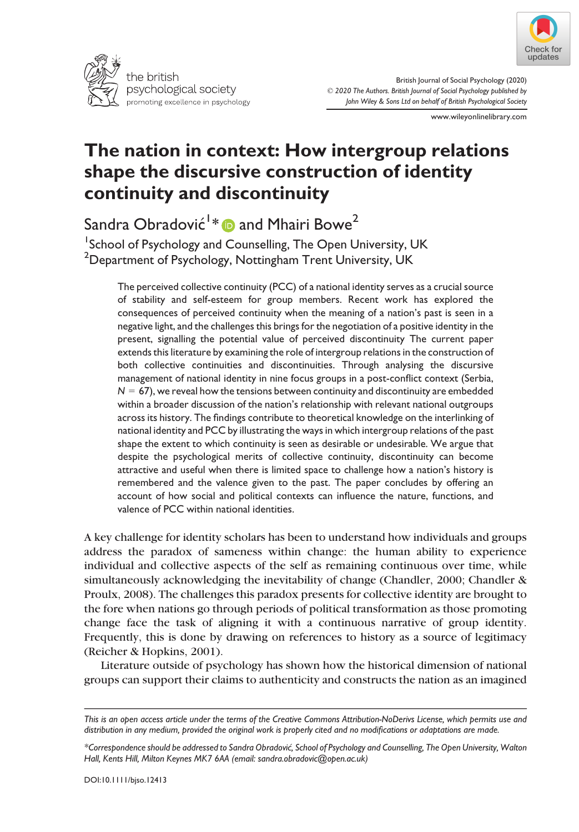



British Journal of Social Psychology (2020) © 2020 The Authors. British Journal of Social Psychology published by John Wiley & Sons Ltd on behalf of British Psychological Society

www.wileyonlinelibrary.com

# The nation in context: How intergroup relations shape the discursive construction of identity continuity and discontinuity

Sandra Obradović<sup>1</sup>[\\*](https://orcid.org/0000-0001-7930-3909) <mark>O</mark> and Mhairi Bowe<sup>2</sup>

<sup>1</sup>School of Psychology and Counselling, The Open University, UK  $^{\rm 2}$ Department of Psychology, Nottingham Trent University, UK

The perceived collective continuity (PCC) of a national identity serves as a crucial source of stability and self-esteem for group members. Recent work has explored the consequences of perceived continuity when the meaning of a nation's past is seen in a negative light, and the challenges this brings for the negotiation of a positive identity in the present, signalling the potential value of perceived discontinuity The current paper extends this literature by examining the role of intergroup relations in the construction of both collective continuities and discontinuities. Through analysing the discursive management of national identity in nine focus groups in a post-conflict context (Serbia,  $N = 67$ ), we reveal how the tensions between continuity and discontinuity are embedded within a broader discussion of the nation's relationship with relevant national outgroups across its history. The findings contribute to theoretical knowledge on the interlinking of national identity and PCC by illustrating the ways in which intergroup relations of the past shape the extent to which continuity is seen as desirable or undesirable. We argue that despite the psychological merits of collective continuity, discontinuity can become attractive and useful when there is limited space to challenge how a nation's history is remembered and the valence given to the past. The paper concludes by offering an account of how social and political contexts can influence the nature, functions, and valence of PCC within national identities.

A key challenge for identity scholars has been to understand how individuals and groups address the paradox of sameness within change: the human ability to experience individual and collective aspects of the self as remaining continuous over time, while simultaneously acknowledging the inevitability of change (Chandler, 2000; Chandler & Proulx, 2008). The challenges this paradox presents for collective identity are brought to the fore when nations go through periods of political transformation as those promoting change face the task of aligning it with a continuous narrative of group identity. Frequently, this is done by drawing on references to history as a source of legitimacy (Reicher & Hopkins, 2001).

Literature outside of psychology has shown how the historical dimension of national groups can support their claims to authenticity and constructs the nation as an imagined

This is an open access article under the terms of the [Creative Commons Attribution-NoDerivs](http://creativecommons.org/licenses/by-nd/4.0/) License, which permits use and distribution in any medium, provided the original work is properly cited and no modifications or adaptations are made.

<sup>\*</sup>Correspondence should be addressed to Sandra Obradovic, School of Psychology and Counselling, The Open University, Walton Hall, Kents Hill, Milton Keynes MK7 6AA (email: [sandra.obradovic@open.ac.uk](mailto:))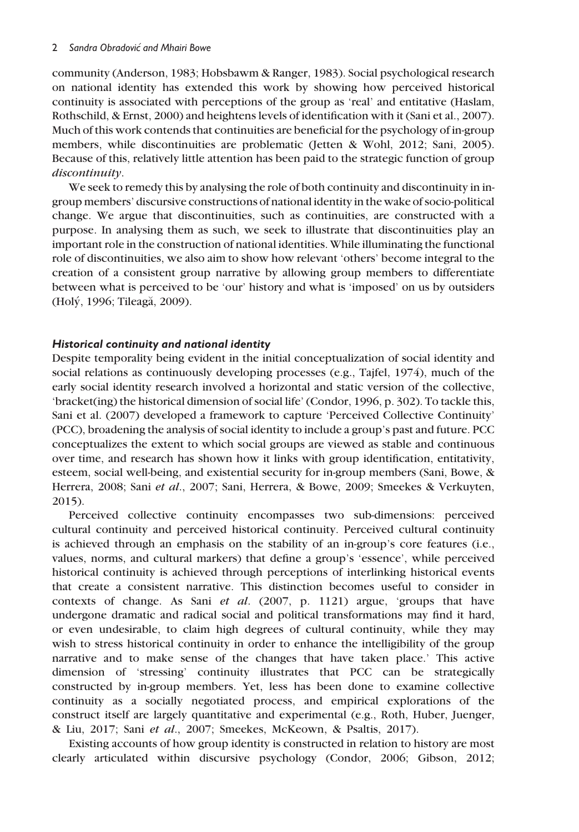community (Anderson, 1983; Hobsbawm & Ranger, 1983). Social psychological research on national identity has extended this work by showing how perceived historical continuity is associated with perceptions of the group as 'real' and entitative (Haslam, Rothschild, & Ernst, 2000) and heightens levels of identification with it (Sani et al., 2007). Much of this work contends that continuities are beneficial for the psychology of in-group members, while discontinuities are problematic (Jetten & Wohl, 2012; Sani, 2005). Because of this, relatively little attention has been paid to the strategic function of group discontinuity.

We seek to remedy this by analysing the role of both continuity and discontinuity in ingroup members' discursive constructions of national identity in the wake of socio-political change. We argue that discontinuities, such as continuities, are constructed with a purpose. In analysing them as such, we seek to illustrate that discontinuities play an important role in the construction of national identities. While illuminating the functional role of discontinuities, we also aim to show how relevant 'others' become integral to the creation of a consistent group narrative by allowing group members to differentiate between what is perceived to be 'our' history and what is 'imposed' on us by outsiders (Holy, 1996; Tileaga, 2009).

### Historical continuity and national identity

Despite temporality being evident in the initial conceptualization of social identity and social relations as continuously developing processes (e.g., Tajfel, 1974), much of the early social identity research involved a horizontal and static version of the collective, 'bracket(ing) the historical dimension of social life' (Condor, 1996, p. 302). To tackle this, Sani et al. (2007) developed a framework to capture 'Perceived Collective Continuity' (PCC), broadening the analysis of social identity to include a group's past and future. PCC conceptualizes the extent to which social groups are viewed as stable and continuous over time, and research has shown how it links with group identification, entitativity, esteem, social well-being, and existential security for in-group members (Sani, Bowe, & Herrera, 2008; Sani et al., 2007; Sani, Herrera, & Bowe, 2009; Smeekes & Verkuyten, 2015).

Perceived collective continuity encompasses two sub-dimensions: perceived cultural continuity and perceived historical continuity. Perceived cultural continuity is achieved through an emphasis on the stability of an in-group's core features (i.e., values, norms, and cultural markers) that define a group's 'essence', while perceived historical continuity is achieved through perceptions of interlinking historical events that create a consistent narrative. This distinction becomes useful to consider in contexts of change. As Sani et al. (2007, p. 1121) argue, 'groups that have undergone dramatic and radical social and political transformations may find it hard, or even undesirable, to claim high degrees of cultural continuity, while they may wish to stress historical continuity in order to enhance the intelligibility of the group narrative and to make sense of the changes that have taken place.' This active dimension of 'stressing' continuity illustrates that PCC can be strategically constructed by in-group members. Yet, less has been done to examine collective continuity as a socially negotiated process, and empirical explorations of the construct itself are largely quantitative and experimental (e.g., Roth, Huber, Juenger, & Liu, 2017; Sani et al., 2007; Smeekes, McKeown, & Psaltis, 2017).

Existing accounts of how group identity is constructed in relation to history are most clearly articulated within discursive psychology (Condor, 2006; Gibson, 2012;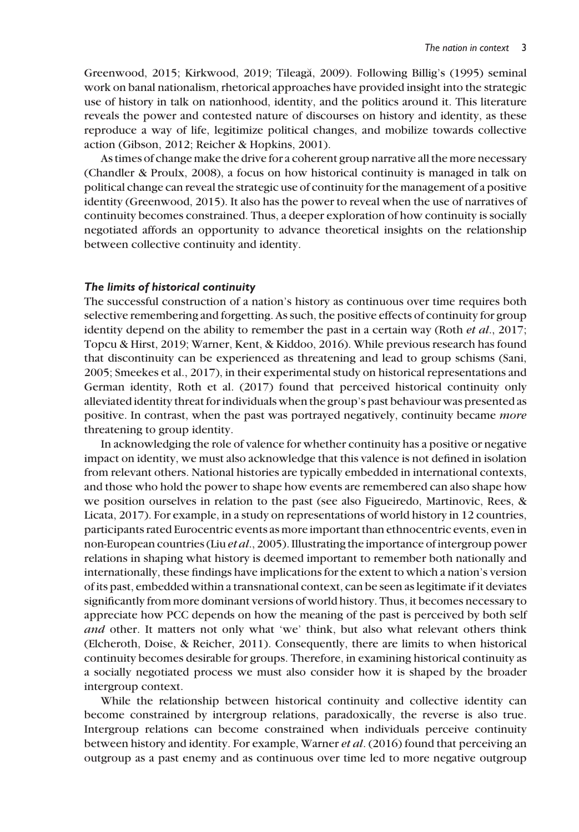Greenwood, 2015; Kirkwood, 2019; Tileaga, 2009). Following Billig's (1995) seminal work on banal nationalism, rhetorical approaches have provided insight into the strategic use of history in talk on nationhood, identity, and the politics around it. This literature reveals the power and contested nature of discourses on history and identity, as these reproduce a way of life, legitimize political changes, and mobilize towards collective action (Gibson, 2012; Reicher & Hopkins, 2001).

As times of change make the drive for a coherent group narrative all the more necessary (Chandler & Proulx, 2008), a focus on how historical continuity is managed in talk on political change can reveal the strategic use of continuity for the management of a positive identity (Greenwood, 2015). It also has the power to reveal when the use of narratives of continuity becomes constrained. Thus, a deeper exploration of how continuity is socially negotiated affords an opportunity to advance theoretical insights on the relationship between collective continuity and identity.

#### The limits of historical continuity

The successful construction of a nation's history as continuous over time requires both selective remembering and forgetting. As such, the positive effects of continuity for group identity depend on the ability to remember the past in a certain way (Roth *et al.*, 2017; Topcu & Hirst, 2019; Warner, Kent, & Kiddoo, 2016). While previous research has found that discontinuity can be experienced as threatening and lead to group schisms (Sani, 2005; Smeekes et al., 2017), in their experimental study on historical representations and German identity, Roth et al. (2017) found that perceived historical continuity only alleviated identity threat for individuals when the group's past behaviour was presented as positive. In contrast, when the past was portrayed negatively, continuity became *more* threatening to group identity.

In acknowledging the role of valence for whether continuity has a positive or negative impact on identity, we must also acknowledge that this valence is not defined in isolation from relevant others. National histories are typically embedded in international contexts, and those who hold the power to shape how events are remembered can also shape how we position ourselves in relation to the past (see also Figueiredo, Martinovic, Rees, & Licata, 2017). For example, in a study on representations of world history in 12 countries, participants rated Eurocentric events as more important than ethnocentric events, even in non-European countries (Liu et al., 2005). Illustrating the importance of intergroup power relations in shaping what history is deemed important to remember both nationally and internationally, these findings have implications for the extent to which a nation's version of its past, embedded within a transnational context, can be seen as legitimate if it deviates significantly from more dominant versions of world history. Thus, it becomes necessary to appreciate how PCC depends on how the meaning of the past is perceived by both self and other. It matters not only what 'we' think, but also what relevant others think (Elcheroth, Doise, & Reicher, 2011). Consequently, there are limits to when historical continuity becomes desirable for groups. Therefore, in examining historical continuity as a socially negotiated process we must also consider how it is shaped by the broader intergroup context.

While the relationship between historical continuity and collective identity can become constrained by intergroup relations, paradoxically, the reverse is also true. Intergroup relations can become constrained when individuals perceive continuity between history and identity. For example, Warner *et al.* (2016) found that perceiving an outgroup as a past enemy and as continuous over time led to more negative outgroup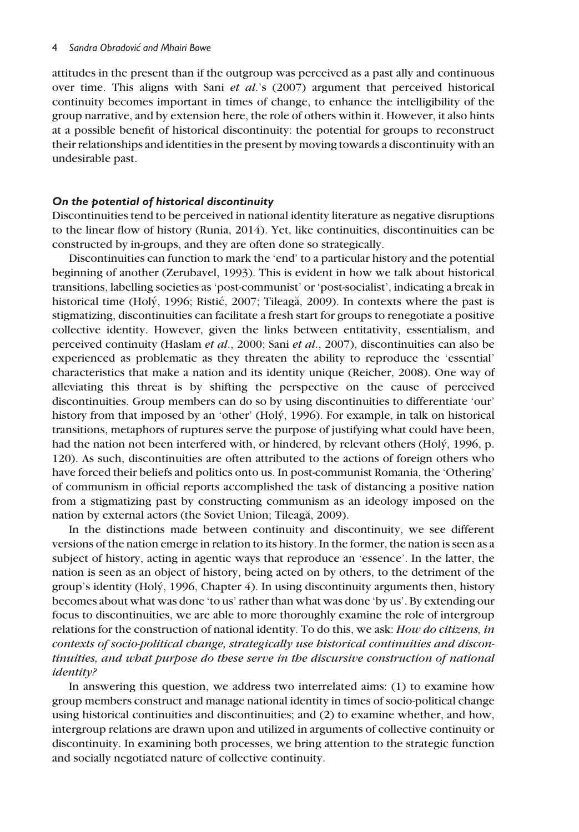attitudes in the present than if the outgroup was perceived as a past ally and continuous over time. This aligns with Sani et al.'s (2007) argument that perceived historical continuity becomes important in times of change, to enhance the intelligibility of the group narrative, and by extension here, the role of others within it. However, it also hints at a possible benefit of historical discontinuity: the potential for groups to reconstruct their relationships and identities in the present by moving towards a discontinuity with an undesirable past.

#### On the potential of historical discontinuity

Discontinuities tend to be perceived in national identity literature as negative disruptions to the linear flow of history (Runia, 2014). Yet, like continuities, discontinuities can be constructed by in-groups, and they are often done so strategically.

Discontinuities can function to mark the 'end' to a particular history and the potential beginning of another (Zerubavel, 1993). This is evident in how we talk about historical transitions, labelling societies as 'post-communist' or 'post-socialist', indicating a break in historical time (Holý, 1996; Ristić, 2007; Tileagă, 2009). In contexts where the past is stigmatizing, discontinuities can facilitate a fresh start for groups to renegotiate a positive collective identity. However, given the links between entitativity, essentialism, and perceived continuity (Haslam et al., 2000; Sani et al., 2007), discontinuities can also be experienced as problematic as they threaten the ability to reproduce the 'essential' characteristics that make a nation and its identity unique (Reicher, 2008). One way of alleviating this threat is by shifting the perspective on the cause of perceived discontinuities. Group members can do so by using discontinuities to differentiate 'our' history from that imposed by an 'other' (Holý, 1996). For example, in talk on historical transitions, metaphors of ruptures serve the purpose of justifying what could have been, had the nation not been interfered with, or hindered, by relevant others (Holý, 1996, p. 120). As such, discontinuities are often attributed to the actions of foreign others who have forced their beliefs and politics onto us. In post-communist Romania, the 'Othering' of communism in official reports accomplished the task of distancing a positive nation from a stigmatizing past by constructing communism as an ideology imposed on the nation by external actors (the Soviet Union; Tileagă, 2009).

In the distinctions made between continuity and discontinuity, we see different versions of the nation emerge in relation to its history. In the former, the nation is seen as a subject of history, acting in agentic ways that reproduce an 'essence'. In the latter, the nation is seen as an object of history, being acted on by others, to the detriment of the group's identity (Holy, 1996, Chapter 4). In using discontinuity arguments then, history becomes about what was done 'to us' rather than what was done 'by us'. By extending our focus to discontinuities, we are able to more thoroughly examine the role of intergroup relations for the construction of national identity. To do this, we ask: How do citizens, in contexts of socio-political change, strategically use historical continuities and discontinuities, and what purpose do these serve in the discursive construction of national identity?

In answering this question, we address two interrelated aims: (1) to examine how group members construct and manage national identity in times of socio-political change using historical continuities and discontinuities; and (2) to examine whether, and how, intergroup relations are drawn upon and utilized in arguments of collective continuity or discontinuity. In examining both processes, we bring attention to the strategic function and socially negotiated nature of collective continuity.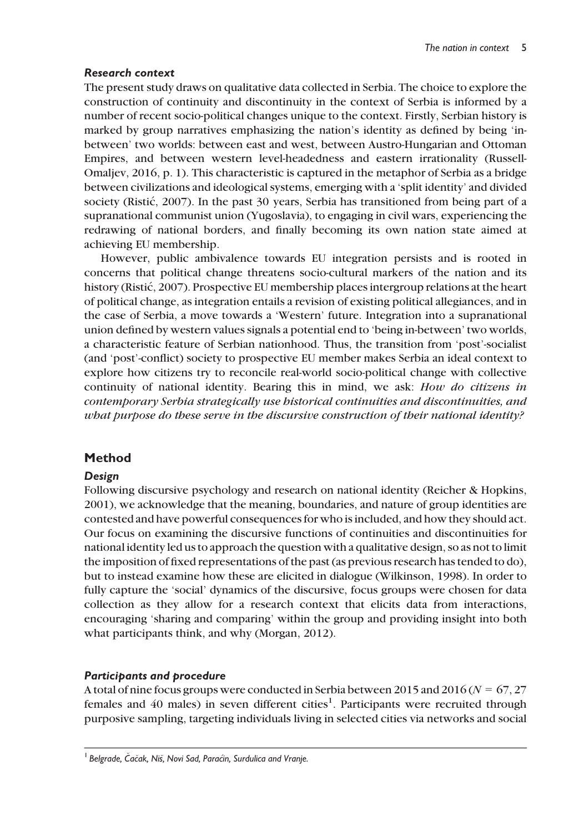### Research context

The present study draws on qualitative data collected in Serbia. The choice to explore the construction of continuity and discontinuity in the context of Serbia is informed by a number of recent socio-political changes unique to the context. Firstly, Serbian history is marked by group narratives emphasizing the nation's identity as defined by being 'inbetween' two worlds: between east and west, between Austro-Hungarian and Ottoman Empires, and between western level-headedness and eastern irrationality (Russell-Omaljev, 2016, p. 1). This characteristic is captured in the metaphor of Serbia as a bridge between civilizations and ideological systems, emerging with a 'split identity' and divided society (Ristic, 2007). In the past 30 years, Serbia has transitioned from being part of a supranational communist union (Yugoslavia), to engaging in civil wars, experiencing the redrawing of national borders, and finally becoming its own nation state aimed at achieving EU membership.

However, public ambivalence towards EU integration persists and is rooted in concerns that political change threatens socio-cultural markers of the nation and its history (Ristic, 2007). Prospective EU membership places intergroup relations at the heart of political change, as integration entails a revision of existing political allegiances, and in the case of Serbia, a move towards a 'Western' future. Integration into a supranational union defined by western values signals a potential end to 'being in-between' two worlds, a characteristic feature of Serbian nationhood. Thus, the transition from 'post'-socialist (and 'post'-conflict) society to prospective EU member makes Serbia an ideal context to explore how citizens try to reconcile real-world socio-political change with collective continuity of national identity. Bearing this in mind, we ask: How do citizens in contemporary Serbia strategically use historical continuities and discontinuities, and what purpose do these serve in the discursive construction of their national identity?

# Method

# Design

Following discursive psychology and research on national identity (Reicher & Hopkins, 2001), we acknowledge that the meaning, boundaries, and nature of group identities are contested and have powerful consequences for who is included, and how they should act. Our focus on examining the discursive functions of continuities and discontinuities for national identity led us to approach the question with a qualitative design, so as not to limit the imposition of fixed representations of the past (as previous research has tended to do), but to instead examine how these are elicited in dialogue (Wilkinson, 1998). In order to fully capture the 'social' dynamics of the discursive, focus groups were chosen for data collection as they allow for a research context that elicits data from interactions, encouraging 'sharing and comparing' within the group and providing insight into both what participants think, and why (Morgan, 2012).

# Participants and procedure

A total of nine focus groups were conducted in Serbia between 2015 and 2016 ( $N = 67, 27$ females and 40 males) in seven different cities<sup>1</sup>. Participants were recruited through purposive sampling, targeting individuals living in selected cities via networks and social

<sup>&</sup>lt;sup>1</sup> Belgrade, Čačak, Niš, Novi Sad, Paraćin, Surdulica and Vranje.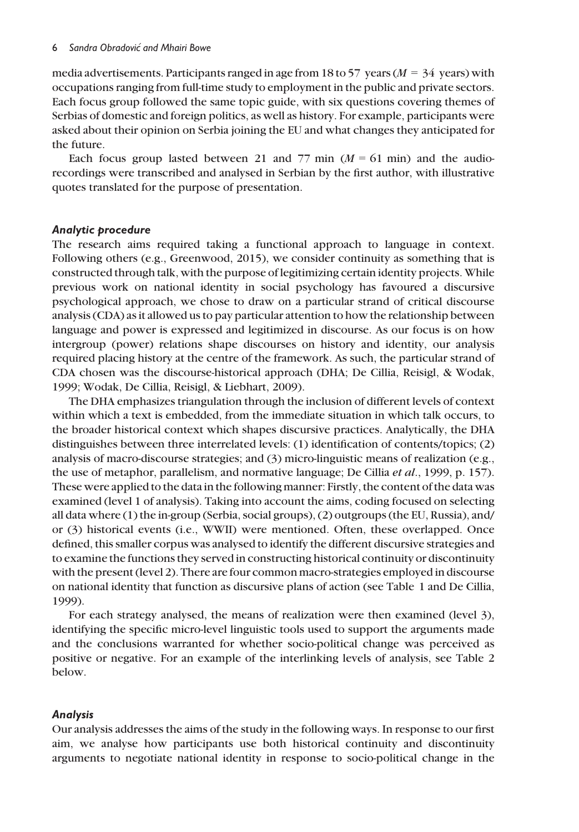media advertisements. Participants ranged in age from 18 to 57 years ( $M = 34$  years) with occupations ranging from full-time study to employment in the public and private sectors. Each focus group followed the same topic guide, with six questions covering themes of Serbias of domestic and foreign politics, as well as history. For example, participants were asked about their opinion on Serbia joining the EU and what changes they anticipated for the future.

Each focus group lasted between 21 and 77 min ( $M = 61$  min) and the audiorecordings were transcribed and analysed in Serbian by the first author, with illustrative quotes translated for the purpose of presentation.

#### Analytic procedure

The research aims required taking a functional approach to language in context. Following others (e.g., Greenwood, 2015), we consider continuity as something that is constructed through talk, with the purpose of legitimizing certain identity projects. While previous work on national identity in social psychology has favoured a discursive psychological approach, we chose to draw on a particular strand of critical discourse analysis (CDA) as it allowed us to pay particular attention to how the relationship between language and power is expressed and legitimized in discourse. As our focus is on how intergroup (power) relations shape discourses on history and identity, our analysis required placing history at the centre of the framework. As such, the particular strand of CDA chosen was the discourse-historical approach (DHA; De Cillia, Reisigl, & Wodak, 1999; Wodak, De Cillia, Reisigl, & Liebhart, 2009).

The DHA emphasizes triangulation through the inclusion of different levels of context within which a text is embedded, from the immediate situation in which talk occurs, to the broader historical context which shapes discursive practices. Analytically, the DHA distinguishes between three interrelated levels: (1) identification of contents/topics; (2) analysis of macro-discourse strategies; and (3) micro-linguistic means of realization (e.g., the use of metaphor, parallelism, and normative language; De Cillia *et al.*, 1999, p. 157). These were applied to the data in the following manner: Firstly, the content of the data was examined (level 1 of analysis). Taking into account the aims, coding focused on selecting all data where (1) the in-group (Serbia, social groups), (2) outgroups (the EU, Russia), and/ or (3) historical events (i.e., WWII) were mentioned. Often, these overlapped. Once defined, this smaller corpus was analysed to identify the different discursive strategies and to examine the functions they served in constructing historical continuity or discontinuity with the present (level 2). There are four common macro-strategies employed in discourse on national identity that function as discursive plans of action (see Table 1 and De Cillia, 1999).

For each strategy analysed, the means of realization were then examined (level 3), identifying the specific micro-level linguistic tools used to support the arguments made and the conclusions warranted for whether socio-political change was perceived as positive or negative. For an example of the interlinking levels of analysis, see Table 2 below.

#### Analysis

Our analysis addresses the aims of the study in the following ways. In response to our first aim, we analyse how participants use both historical continuity and discontinuity arguments to negotiate national identity in response to socio-political change in the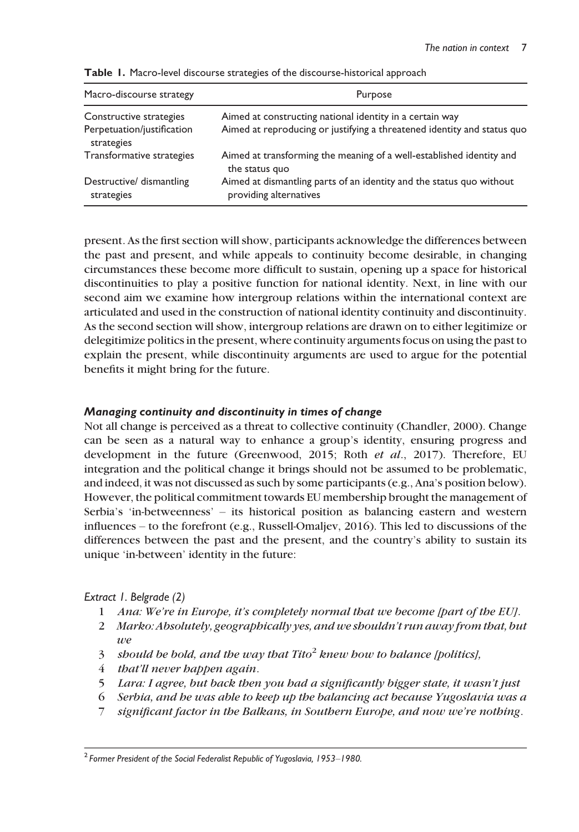| Macro-discourse strategy                 | Purpose                                                                                        |
|------------------------------------------|------------------------------------------------------------------------------------------------|
| Constructive strategies                  | Aimed at constructing national identity in a certain way                                       |
| Perpetuation/justification<br>strategies | Aimed at reproducing or justifying a threatened identity and status quo                        |
| Transformative strategies                | Aimed at transforming the meaning of a well-established identity and<br>the status quo         |
| Destructive/ dismantling<br>strategies   | Aimed at dismantling parts of an identity and the status quo without<br>providing alternatives |

Table 1. Macro-level discourse strategies of the discourse-historical approach

present. As the first section will show, participants acknowledge the differences between the past and present, and while appeals to continuity become desirable, in changing circumstances these become more difficult to sustain, opening up a space for historical discontinuities to play a positive function for national identity. Next, in line with our second aim we examine how intergroup relations within the international context are articulated and used in the construction of national identity continuity and discontinuity. As the second section will show, intergroup relations are drawn on to either legitimize or delegitimize politics in the present, where continuity arguments focus on using the past to explain the present, while discontinuity arguments are used to argue for the potential benefits it might bring for the future.

### Managing continuity and discontinuity in times of change

Not all change is perceived as a threat to collective continuity (Chandler, 2000). Change can be seen as a natural way to enhance a group's identity, ensuring progress and development in the future (Greenwood, 2015; Roth et al., 2017). Therefore, EU integration and the political change it brings should not be assumed to be problematic, and indeed, it was not discussed as such by some participants (e.g., Ana's position below). However, the political commitment towards EU membership brought the management of Serbia's 'in-betweenness' – its historical position as balancing eastern and western influences – to the forefront (e.g., Russell-Omaljev, 2016). This led to discussions of the differences between the past and the present, and the country's ability to sustain its unique 'in-between' identity in the future:

# Extract 1. Belgrade (2)

- 1 Ana: We're in Europe, it's completely normal that we become [part of the EU].
- 2 Marko: Absolutely, geographically yes, and we shouldn't run away from that, but we
- 3 should be bold, and the way that Tito<sup>2</sup> knew how to balance [politics],
- 4 that'll never happen again.
- 5 Lara: I agree, but back then you had a significantly bigger state, it wasn't just
- 6 Serbia, and he was able to keep up the balancing act because Yugoslavia was a
- 7 significant factor in the Balkans, in Southern Europe, and now we're nothing.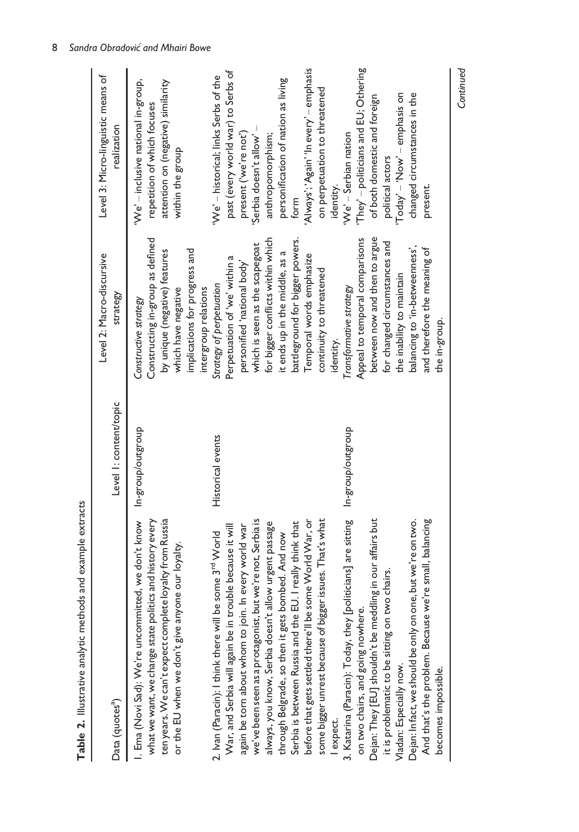| Continued                                         |                                                  |                        |                                                              |
|---------------------------------------------------|--------------------------------------------------|------------------------|--------------------------------------------------------------|
|                                                   | the in-group.                                    |                        | becomes impossible.                                          |
| present.                                          | and therefore the meaning of                     |                        | And that's the problem. Because we're small, balancing       |
| changed circumstances in the                      | balancing to 'in-betweenness',                   |                        | Dejan: In fact, we should be only on one, but we're on two.  |
| Today' - 'Now' - emphasis on                      | the inability to maintain                        |                        | Vladan: Especially now.                                      |
| political actors                                  | for changed circumstances and                    |                        | chairs.<br>it is problematic to be sitting on two            |
| of both domestic and foreign                      | between now and then to argue                    |                        | Dejan: They [EU] shouldn't be meddling in our affairs but    |
| 'They' - politicians and EU; Othering             | Appeal to temporal comparisons                   |                        | on two chairs, and going nowhere.                            |
| 'We' - Serbian nation                             | Transformative strategy                          | ln-group/outgroup      | 3. Katarina (Paracin): Today, they [politicians] are sitting |
| identity.                                         | identity.                                        |                        | I expect.                                                    |
| on perpetuation to threatened                     | continuity to threatened                         |                        | issues. That's what<br>some bigger unrest because of bigger  |
| 'Always'; 'Again' 'In every' - emphasis           | Temporal words emphasize                         |                        | before that gets settled there'll be some World War, or      |
| torm                                              | battleground for bigger powers.                  |                        | Serbia is between Russia and the EU. I really think that     |
| personification of nation as living               | it ends up in the middle, as a                   |                        | through Belgrade, so then it gets bombed. And now            |
| anthropomorphism;                                 | for bigger conflicts within which                |                        | always, you know, Serbia doesn't allow urgent passage        |
| 'Serbia doesn't allow'                            | which is seen as the scapegoat                   |                        | we've been seen as a protagonist, but we're not, Serbia is   |
| present ('we're not')                             | personified 'national body'                      |                        | every world war<br>again be torn about whom to join. In      |
| past (every world war) to Serbs of                | Perpetuation of 'we' within a                    |                        | War, and Serbia will again be in trouble because it will     |
| 'We' - historical; links Serbs of the             | Strategy of perpetuation<br>intergroup relations | Historical events      | 2. Ivan (Paracin): I think there will be some 3rd World      |
|                                                   | implications for progress and                    |                        |                                                              |
| within the group                                  | which have negative                              |                        | or the EU when we don't give anyone our loyalty.             |
| attention on (negative) similarity                | by unique (negative) features                    |                        | ten years. We can't expect complete loyalty from Russia      |
| repetition of which focuses                       | Constructing in-group as defined                 |                        | what we want, we change state politics and history every     |
| 'We' - inclusive national in-group,               | Constructive strategy                            | ln-group/outgroup      | I. Ema (Novi Sad): We're uncommitted, we don't know          |
| Level 3: Micro-linguistic means of<br>realization | Level 2: Macro-discursive<br>strategy            | Level I: content/topic | Data (quotes <sup>a</sup> )                                  |
|                                                   |                                                  |                        |                                                              |

Table 2. Illustrative analytic methods and example extracts  ${\sf Table~2.}$  Illustrative analytic methods and example extracts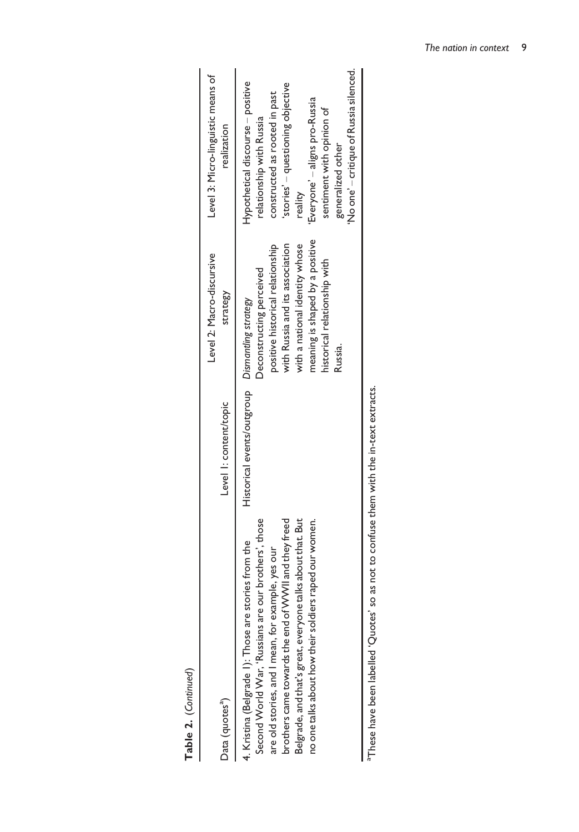Table 2. (Continued) **Table 2.** (Continued)

l,

| Data (quotes <sup>a</sup> )                                                                                                                                                                                                                                                                                                                       | Level I: content/topic                          | Level 2: Macro-discursive<br>strategy                                                                                                                                                                           | Level 3: Micro-linguistic means of<br>realization                                                                                                                                                                                                                            |
|---------------------------------------------------------------------------------------------------------------------------------------------------------------------------------------------------------------------------------------------------------------------------------------------------------------------------------------------------|-------------------------------------------------|-----------------------------------------------------------------------------------------------------------------------------------------------------------------------------------------------------------------|------------------------------------------------------------------------------------------------------------------------------------------------------------------------------------------------------------------------------------------------------------------------------|
| Second World War, 'Russians are our brothers', those<br>brothers came towards the end of WWII and they freed<br>Belgrade, and that's great, everyone talks about that. But<br>no one talks about how their soldiers raped our women.<br>4. Kristina (Belgrade 1): Those are stories from the<br>are old stories, and I mean, for example, yes our | Historical events/outgroup Dismantling strategy | meaning is shaped by a positive<br>with Russia and its association<br>with a national identity whose<br>positive historical relationship<br>historical relationship with<br>Deconstructing perceived<br>Russia. | 'No one' – critique of Russia silenced.<br>Hypothetical discourse - positive<br>stories' - questioning objective<br>constructed as rooted in past<br>'Everyone' – aligns pro-Russia<br>sentiment with opinion of<br>relationship with Russia<br>generalized other<br>reality |

<sup>a</sup>These have been labelled 'Quotes' so as not to confuse them with the in-text extracts.  $^{\rm a}$ These have been labelled 'Quotes' so as not to confuse them with the in-text extracts.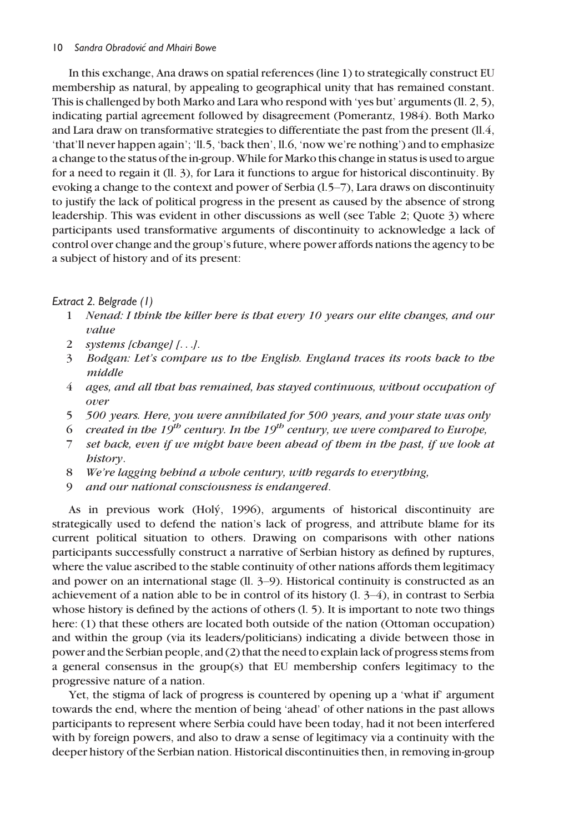#### 10 Sandra Obradović and Mhairi Bowe

In this exchange, Ana draws on spatial references (line 1) to strategically construct EU membership as natural, by appealing to geographical unity that has remained constant. This is challenged by both Marko and Lara who respond with 'yes but' arguments (ll. 2, 5), indicating partial agreement followed by disagreement (Pomerantz, 1984). Both Marko and Lara draw on transformative strategies to differentiate the past from the present (ll.4, 'that'll never happen again'; 'll.5, 'back then', ll.6, 'now we're nothing') and to emphasize a change to the status of the in-group.While for Marko this change in status is used to argue for a need to regain it (ll. 3), for Lara it functions to argue for historical discontinuity. By evoking a change to the context and power of Serbia (l.5–7), Lara draws on discontinuity to justify the lack of political progress in the present as caused by the absence of strong leadership. This was evident in other discussions as well (see Table 2; Quote 3) where participants used transformative arguments of discontinuity to acknowledge a lack of control over change and the group's future, where power affords nations the agency to be a subject of history and of its present:

#### Extract 2. Belgrade (1)

- 1 Nenad: I think the killer here is that every 10 years our elite changes, and our value
- 2 systems [change] [...].
- 3 Bodgan: Let's compare us to the English. England traces its roots back to the middle
- 4 ages, and all that has remained, has stayed continuous, without occupation of over
- 5 500 years. Here, you were annihilated for 500 years, and your state was only
- 6 created in the  $19^{th}$  century. In the  $19^{th}$  century, we were compared to Europe,
- 7 set back, even if we might have been ahead of them in the past, if we look at history.
- 8 We're lagging behind a whole century, with regards to everything,
- 9 and our national consciousness is endangered.

As in previous work (Holy, 1996), arguments of historical discontinuity are strategically used to defend the nation's lack of progress, and attribute blame for its current political situation to others. Drawing on comparisons with other nations participants successfully construct a narrative of Serbian history as defined by ruptures, where the value ascribed to the stable continuity of other nations affords them legitimacy and power on an international stage (ll. 3–9). Historical continuity is constructed as an achievement of a nation able to be in control of its history (l. 3–4), in contrast to Serbia whose history is defined by the actions of others  $(1, 5)$ . It is important to note two things here: (1) that these others are located both outside of the nation (Ottoman occupation) and within the group (via its leaders/politicians) indicating a divide between those in power and the Serbian people, and (2) that the need to explain lack of progress stems from a general consensus in the group(s) that EU membership confers legitimacy to the progressive nature of a nation.

Yet, the stigma of lack of progress is countered by opening up a 'what if' argument towards the end, where the mention of being 'ahead' of other nations in the past allows participants to represent where Serbia could have been today, had it not been interfered with by foreign powers, and also to draw a sense of legitimacy via a continuity with the deeper history of the Serbian nation. Historical discontinuities then, in removing in-group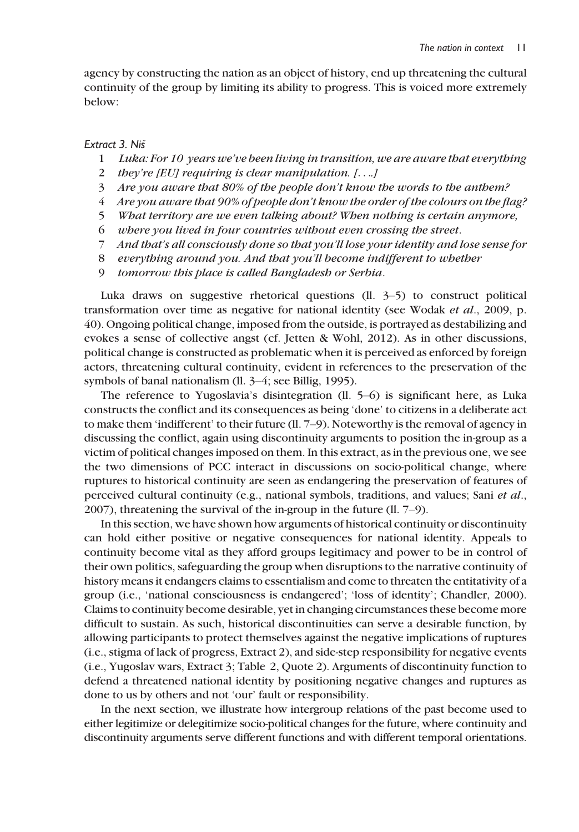agency by constructing the nation as an object of history, end up threatening the cultural continuity of the group by limiting its ability to progress. This is voiced more extremely below:

### Extract 3. Nis

- 1 Luka: For 10 years we've been living in transition, we are aware that everything
- 2 they're [EU] requiring is clear manipulation.  $[...]$
- 3 Are you aware that 80% of the people don't know the words to the anthem?
- 4 Are you aware that 90% of people don't know the order of the colours on the flag?
- 5 What territory are we even talking about? When nothing is certain anymore,
- 6 where you lived in four countries without even crossing the street.
- 7 And that's all consciously done so that you'll lose your identity and lose sense for
- 8 everything around you. And that you'll become indifferent to whether
- 9 tomorrow this place is called Bangladesh or Serbia.

Luka draws on suggestive rhetorical questions (ll. 3–5) to construct political transformation over time as negative for national identity (see Wodak et al., 2009, p. 40). Ongoing political change, imposed from the outside, is portrayed as destabilizing and evokes a sense of collective angst (cf. Jetten & Wohl, 2012). As in other discussions, political change is constructed as problematic when it is perceived as enforced by foreign actors, threatening cultural continuity, evident in references to the preservation of the symbols of banal nationalism (ll. 3–4; see Billig, 1995).

The reference to Yugoslavia's disintegration (ll. 5–6) is significant here, as Luka constructs the conflict and its consequences as being 'done' to citizens in a deliberate act to make them 'indifferent' to their future (ll. 7–9). Noteworthy is the removal of agency in discussing the conflict, again using discontinuity arguments to position the in-group as a victim of political changes imposed on them. In this extract, as in the previous one, we see the two dimensions of PCC interact in discussions on socio-political change, where ruptures to historical continuity are seen as endangering the preservation of features of perceived cultural continuity (e.g., national symbols, traditions, and values; Sani et al., 2007), threatening the survival of the in-group in the future (ll. 7–9).

In this section, we have shown how arguments of historical continuity or discontinuity can hold either positive or negative consequences for national identity. Appeals to continuity become vital as they afford groups legitimacy and power to be in control of their own politics, safeguarding the group when disruptions to the narrative continuity of history means it endangers claims to essentialism and come to threaten the entitativity of a group (i.e., 'national consciousness is endangered'; 'loss of identity'; Chandler, 2000). Claims to continuity become desirable, yet in changing circumstances these become more difficult to sustain. As such, historical discontinuities can serve a desirable function, by allowing participants to protect themselves against the negative implications of ruptures (i.e., stigma of lack of progress, Extract 2), and side-step responsibility for negative events (i.e., Yugoslav wars, Extract 3; Table 2, Quote 2). Arguments of discontinuity function to defend a threatened national identity by positioning negative changes and ruptures as done to us by others and not 'our' fault or responsibility.

In the next section, we illustrate how intergroup relations of the past become used to either legitimize or delegitimize socio-political changes for the future, where continuity and discontinuity arguments serve different functions and with different temporal orientations.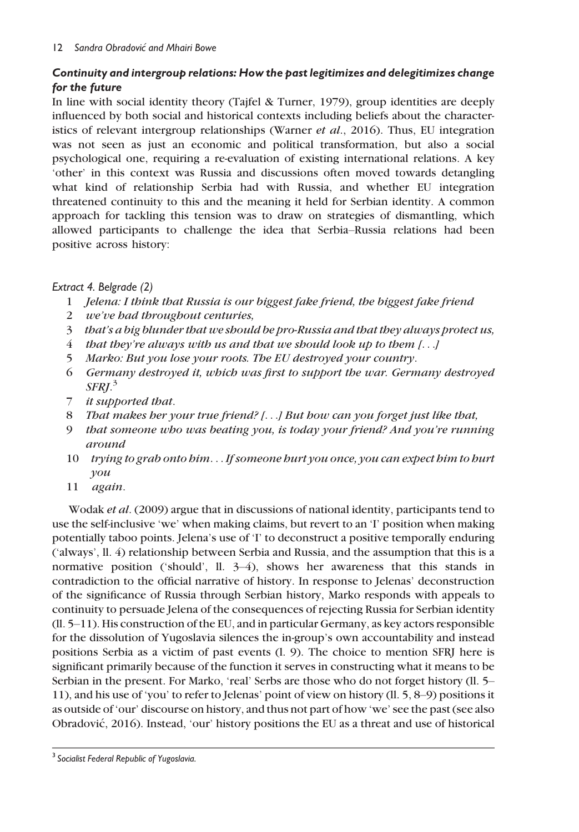# Continuity and intergroup relations: How the past legitimizes and delegitimizes change for the future

In line with social identity theory (Tajfel & Turner, 1979), group identities are deeply influenced by both social and historical contexts including beliefs about the characteristics of relevant intergroup relationships (Warner et al., 2016). Thus, EU integration was not seen as just an economic and political transformation, but also a social psychological one, requiring a re-evaluation of existing international relations. A key 'other' in this context was Russia and discussions often moved towards detangling what kind of relationship Serbia had with Russia, and whether EU integration threatened continuity to this and the meaning it held for Serbian identity. A common approach for tackling this tension was to draw on strategies of dismantling, which allowed participants to challenge the idea that Serbia–Russia relations had been positive across history:

# Extract 4. Belgrade (2)

- 1 Jelena: I think that Russia is our biggest fake friend, the biggest fake friend
- 2 we've had throughout centuries,
- 3 that's a big blunder that we should be pro-Russia and that they always protect us,
- 4 that they're always with us and that we should look up to them  $[...]$
- 5 Marko: But you lose your roots. The EU destroyed your country.
- 6 Germany destroyed it, which was first to support the war. Germany destroyed SFRJ. 3
- 7 it supported that.
- 8 That makes her your true friend? [...] But how can you forget just like that,
- 9 that someone who was beating you, is today your friend? And you're running around
- 10 trying to grab onto him...If someone hurt you once, you can expect him to hurt you
- 11 again.

Wodak et al. (2009) argue that in discussions of national identity, participants tend to use the self-inclusive 'we' when making claims, but revert to an 'I' position when making potentially taboo points. Jelena's use of 'I' to deconstruct a positive temporally enduring ('always', ll. 4) relationship between Serbia and Russia, and the assumption that this is a normative position ('should', ll. 3–4), shows her awareness that this stands in contradiction to the official narrative of history. In response to Jelenas' deconstruction of the significance of Russia through Serbian history, Marko responds with appeals to continuity to persuade Jelena of the consequences of rejecting Russia for Serbian identity (ll. 5–11). His construction of the EU, and in particular Germany, as key actors responsible for the dissolution of Yugoslavia silences the in-group's own accountability and instead positions Serbia as a victim of past events (l. 9). The choice to mention SFRJ here is significant primarily because of the function it serves in constructing what it means to be Serbian in the present. For Marko, 'real' Serbs are those who do not forget history (ll. 5– 11), and his use of 'you' to refer to Jelenas' point of view on history (ll. 5, 8–9) positions it as outside of 'our' discourse on history, and thus not part of how 'we' see the past (see also Obradovic, 2016). Instead, 'our' history positions the EU as a threat and use of historical

<sup>&</sup>lt;sup>3</sup> Socialist Federal Republic of Yugoslavia.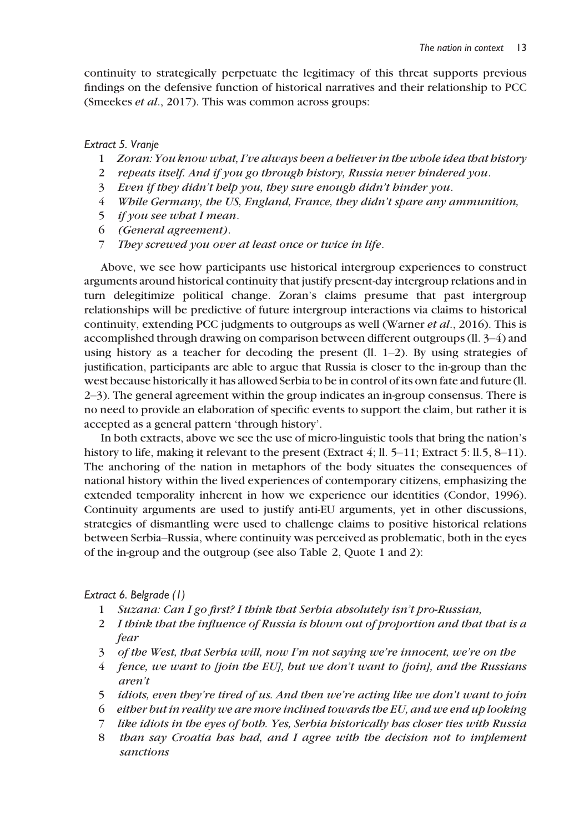continuity to strategically perpetuate the legitimacy of this threat supports previous findings on the defensive function of historical narratives and their relationship to PCC (Smeekes et al., 2017). This was common across groups:

### Extract 5. Vranje

- 1 Zoran: You know what, I've always been a believer in the whole idea that history
- 2 repeats itself. And if you go through history, Russia never hindered you.
- 3 Even if they didn't help you, they sure enough didn't hinder you.
- 4 While Germany, the US, England, France, they didn't spare any ammunition,
- 5 if you see what I mean.
- 6 (General agreement).
- 7 They screwed you over at least once or twice in life.

Above, we see how participants use historical intergroup experiences to construct arguments around historical continuity that justify present-day intergroup relations and in turn delegitimize political change. Zoran's claims presume that past intergroup relationships will be predictive of future intergroup interactions via claims to historical continuity, extending PCC judgments to outgroups as well (Warner *et al.*, 2016). This is accomplished through drawing on comparison between different outgroups (ll. 3–4) and using history as a teacher for decoding the present  $(II. 1-2)$ . By using strategies of justification, participants are able to argue that Russia is closer to the in-group than the west because historically it has allowed Serbia to be in control of its own fate and future (ll. 2–3). The general agreement within the group indicates an in-group consensus. There is no need to provide an elaboration of specific events to support the claim, but rather it is accepted as a general pattern 'through history'.

In both extracts, above we see the use of micro-linguistic tools that bring the nation's history to life, making it relevant to the present (Extract 4; ll. 5–11; Extract 5: ll.5, 8–11). The anchoring of the nation in metaphors of the body situates the consequences of national history within the lived experiences of contemporary citizens, emphasizing the extended temporality inherent in how we experience our identities (Condor, 1996). Continuity arguments are used to justify anti-EU arguments, yet in other discussions, strategies of dismantling were used to challenge claims to positive historical relations between Serbia–Russia, where continuity was perceived as problematic, both in the eyes of the in-group and the outgroup (see also Table 2, Quote 1 and 2):

#### Extract 6. Belgrade (1)

- 1 Suzana: Can I go first? I think that Serbia absolutely isn't pro-Russian,
- 2 I think that the influence of Russia is blown out of proportion and that that is a fear
- 3 of the West, that Serbia will, now I'm not saying we're innocent, we're on the
- 4 fence, we want to [join the EU], but we don't want to [join], and the Russians aren't
- 5 idiots, even they're tired of us. And then we're acting like we don't want to join
- $6$  either but in reality we are more inclined towards the EU, and we end up looking
- 7 like idiots in the eyes of both. Yes, Serbia historically has closer ties with Russia
- 8 than say Croatia has had, and I agree with the decision not to implement sanctions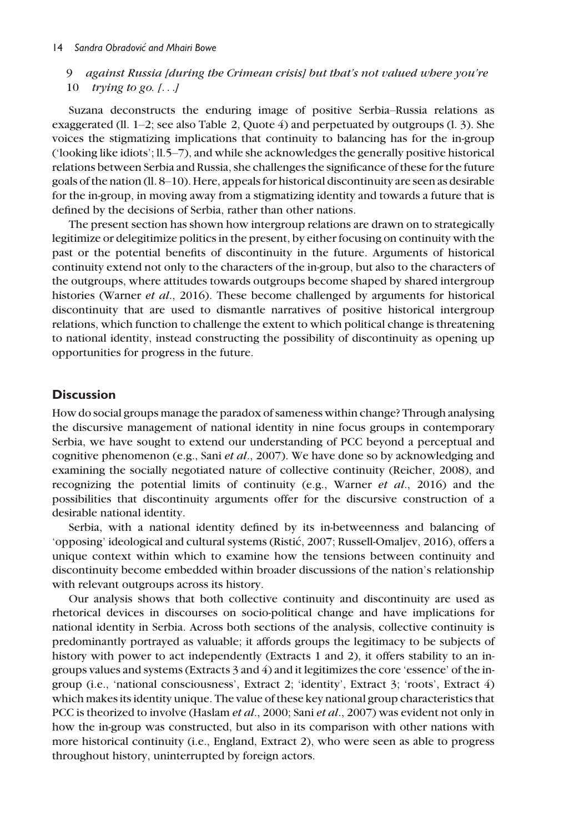- 9 against Russia [during the Crimean crisis] but that's not valued where you're
- 10  $t$ rving to go. [...]

Suzana deconstructs the enduring image of positive Serbia–Russia relations as exaggerated (ll. 1–2; see also Table 2, Quote 4) and perpetuated by outgroups (l. 3). She voices the stigmatizing implications that continuity to balancing has for the in-group ('looking like idiots'; ll.5–7), and while she acknowledges the generally positive historical relations between Serbia and Russia, she challenges the significance of these for the future goals of the nation (ll. 8–10). Here, appeals for historical discontinuity are seen as desirable for the in-group, in moving away from a stigmatizing identity and towards a future that is defined by the decisions of Serbia, rather than other nations.

The present section has shown how intergroup relations are drawn on to strategically legitimize or delegitimize politics in the present, by either focusing on continuity with the past or the potential benefits of discontinuity in the future. Arguments of historical continuity extend not only to the characters of the in-group, but also to the characters of the outgroups, where attitudes towards outgroups become shaped by shared intergroup histories (Warner *et al.*, 2016). These become challenged by arguments for historical discontinuity that are used to dismantle narratives of positive historical intergroup relations, which function to challenge the extent to which political change is threatening to national identity, instead constructing the possibility of discontinuity as opening up opportunities for progress in the future.

# **Discussion**

How do social groups manage the paradox of sameness within change? Through analysing the discursive management of national identity in nine focus groups in contemporary Serbia, we have sought to extend our understanding of PCC beyond a perceptual and cognitive phenomenon (e.g., Sani et al., 2007). We have done so by acknowledging and examining the socially negotiated nature of collective continuity (Reicher, 2008), and recognizing the potential limits of continuity (e.g., Warner *et al.*, 2016) and the possibilities that discontinuity arguments offer for the discursive construction of a desirable national identity.

Serbia, with a national identity defined by its in-betweenness and balancing of 'opposing' ideological and cultural systems (Ristic, 2007; Russell-Omaljev, 2016), offers a unique context within which to examine how the tensions between continuity and discontinuity become embedded within broader discussions of the nation's relationship with relevant outgroups across its history.

Our analysis shows that both collective continuity and discontinuity are used as rhetorical devices in discourses on socio-political change and have implications for national identity in Serbia. Across both sections of the analysis, collective continuity is predominantly portrayed as valuable; it affords groups the legitimacy to be subjects of history with power to act independently (Extracts 1 and 2), it offers stability to an ingroups values and systems (Extracts 3 and 4) and it legitimizes the core 'essence' of the ingroup (i.e., 'national consciousness', Extract 2; 'identity', Extract 3; 'roots', Extract 4) which makes its identity unique. The value of these key national group characteristics that PCC is theorized to involve (Haslam *et al.*, 2000; Sani *et al.*, 2007) was evident not only in how the in-group was constructed, but also in its comparison with other nations with more historical continuity (i.e., England, Extract 2), who were seen as able to progress throughout history, uninterrupted by foreign actors.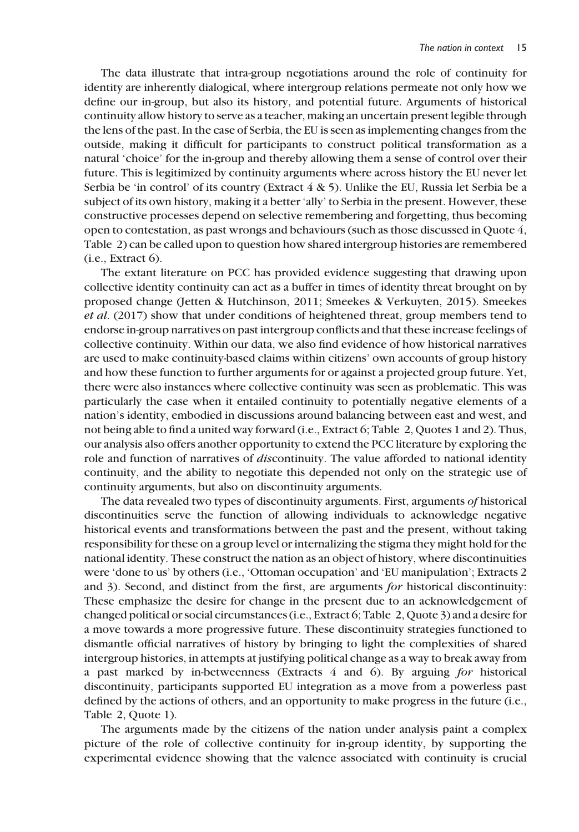The data illustrate that intra-group negotiations around the role of continuity for identity are inherently dialogical, where intergroup relations permeate not only how we define our in-group, but also its history, and potential future. Arguments of historical continuity allow history to serve as a teacher, making an uncertain present legible through the lens of the past. In the case of Serbia, the EU is seen as implementing changes from the outside, making it difficult for participants to construct political transformation as a natural 'choice' for the in-group and thereby allowing them a sense of control over their future. This is legitimized by continuity arguments where across history the EU never let Serbia be 'in control' of its country (Extract 4 & 5). Unlike the EU, Russia let Serbia be a subject of its own history, making it a better 'ally' to Serbia in the present. However, these constructive processes depend on selective remembering and forgetting, thus becoming open to contestation, as past wrongs and behaviours (such as those discussed in Quote 4, Table 2) can be called upon to question how shared intergroup histories are remembered (i.e., Extract 6).

The extant literature on PCC has provided evidence suggesting that drawing upon collective identity continuity can act as a buffer in times of identity threat brought on by proposed change (Jetten & Hutchinson, 2011; Smeekes & Verkuyten, 2015). Smeekes et al. (2017) show that under conditions of heightened threat, group members tend to endorse in-group narratives on past intergroup conflicts and that these increase feelings of collective continuity. Within our data, we also find evidence of how historical narratives are used to make continuity-based claims within citizens' own accounts of group history and how these function to further arguments for or against a projected group future. Yet, there were also instances where collective continuity was seen as problematic. This was particularly the case when it entailed continuity to potentially negative elements of a nation's identity, embodied in discussions around balancing between east and west, and not being able to find a united way forward (i.e., Extract 6; Table 2, Quotes 1 and 2). Thus, our analysis also offers another opportunity to extend the PCC literature by exploring the role and function of narratives of *dis*continuity. The value afforded to national identity continuity, and the ability to negotiate this depended not only on the strategic use of continuity arguments, but also on discontinuity arguments.

The data revealed two types of discontinuity arguments. First, arguments of historical discontinuities serve the function of allowing individuals to acknowledge negative historical events and transformations between the past and the present, without taking responsibility for these on a group level or internalizing the stigma they might hold for the national identity. These construct the nation as an object of history, where discontinuities were 'done to us' by others (i.e., 'Ottoman occupation' and 'EU manipulation'; Extracts 2 and 3). Second, and distinct from the first, are arguments for historical discontinuity: These emphasize the desire for change in the present due to an acknowledgement of changed political or social circumstances (i.e., Extract 6; Table 2, Quote 3) and a desire for a move towards a more progressive future. These discontinuity strategies functioned to dismantle official narratives of history by bringing to light the complexities of shared intergroup histories, in attempts at justifying political change as a way to break away from a past marked by in-betweenness (Extracts 4 and 6). By arguing for historical discontinuity, participants supported EU integration as a move from a powerless past defined by the actions of others, and an opportunity to make progress in the future (i.e., Table 2, Quote 1).

The arguments made by the citizens of the nation under analysis paint a complex picture of the role of collective continuity for in-group identity, by supporting the experimental evidence showing that the valence associated with continuity is crucial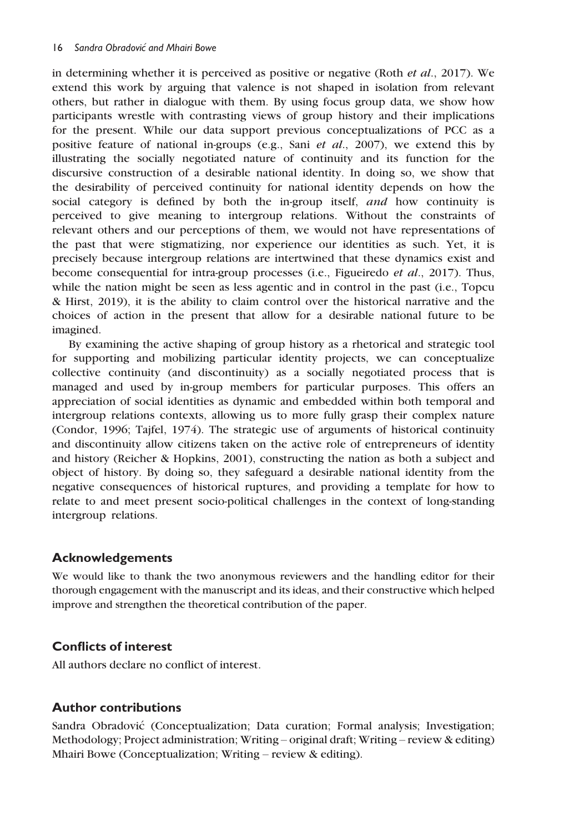in determining whether it is perceived as positive or negative (Roth  $et$   $al$ , 2017). We extend this work by arguing that valence is not shaped in isolation from relevant others, but rather in dialogue with them. By using focus group data, we show how participants wrestle with contrasting views of group history and their implications for the present. While our data support previous conceptualizations of PCC as a positive feature of national in-groups (e.g., Sani et al., 2007), we extend this by illustrating the socially negotiated nature of continuity and its function for the discursive construction of a desirable national identity. In doing so, we show that the desirability of perceived continuity for national identity depends on how the social category is defined by both the in-group itself, and how continuity is perceived to give meaning to intergroup relations. Without the constraints of relevant others and our perceptions of them, we would not have representations of the past that were stigmatizing, nor experience our identities as such. Yet, it is precisely because intergroup relations are intertwined that these dynamics exist and become consequential for intra-group processes (i.e., Figueiredo et al., 2017). Thus, while the nation might be seen as less agentic and in control in the past (i.e., Topcu & Hirst, 2019), it is the ability to claim control over the historical narrative and the choices of action in the present that allow for a desirable national future to be imagined.

By examining the active shaping of group history as a rhetorical and strategic tool for supporting and mobilizing particular identity projects, we can conceptualize collective continuity (and discontinuity) as a socially negotiated process that is managed and used by in-group members for particular purposes. This offers an appreciation of social identities as dynamic and embedded within both temporal and intergroup relations contexts, allowing us to more fully grasp their complex nature (Condor, 1996; Tajfel, 1974). The strategic use of arguments of historical continuity and discontinuity allow citizens taken on the active role of entrepreneurs of identity and history (Reicher & Hopkins, 2001), constructing the nation as both a subject and object of history. By doing so, they safeguard a desirable national identity from the negative consequences of historical ruptures, and providing a template for how to relate to and meet present socio-political challenges in the context of long-standing intergroup relations.

# Acknowledgements

We would like to thank the two anonymous reviewers and the handling editor for their thorough engagement with the manuscript and its ideas, and their constructive which helped improve and strengthen the theoretical contribution of the paper.

# Conflicts of interest

All authors declare no conflict of interest.

# Author contributions

Sandra Obradovic (Conceptualization; Data curation; Formal analysis; Investigation; Methodology; Project administration; Writing – original draft; Writing – review & editing) Mhairi Bowe (Conceptualization; Writing – review & editing).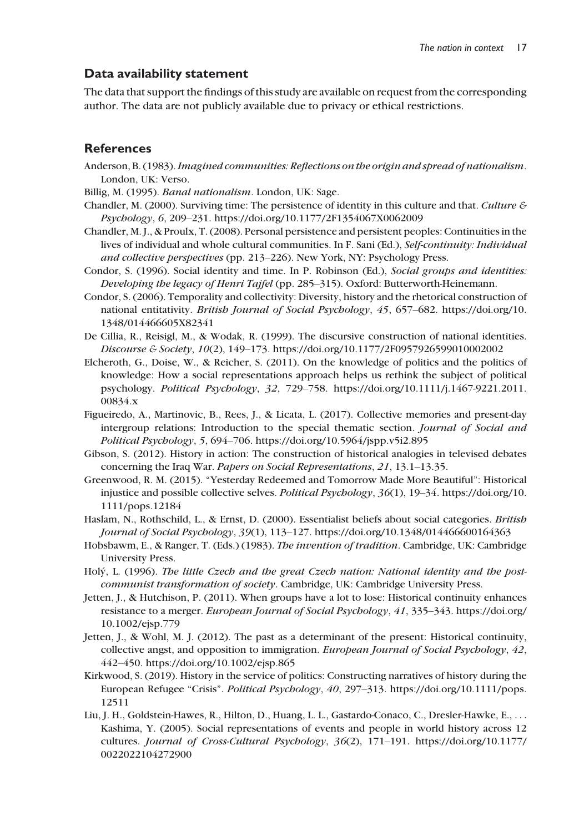# Data availability statement

The data that support the findings of this study are available on request from the corresponding author. The data are not publicly available due to privacy or ethical restrictions.

# **References**

- Anderson, B. (1983). Imagined communities: Reflections on the origin and spread of nationalism. London, UK: Verso.
- Billig, M. (1995). Banal nationalism. London, UK: Sage.
- Chandler, M. (2000). Surviving time: The persistence of identity in this culture and that. Culture  $\epsilon$ Psychology, 6, 209–231.<https://doi.org/10.1177/2F1354067X0062009>
- Chandler, M. J., & Proulx, T. (2008). Personal persistence and persistent peoples: Continuities in the lives of individual and whole cultural communities. In F. Sani (Ed.), Self-continuity: Individual and collective perspectives (pp. 213–226). New York, NY: Psychology Press.
- Condor, S. (1996). Social identity and time. In P. Robinson (Ed.), Social groups and identities: Developing the legacy of Henri Tajfel (pp. 285–315). Oxford: Butterworth-Heinemann.
- Condor, S. (2006). Temporality and collectivity: Diversity, history and the rhetorical construction of national entitativity. British Journal of Social Psychology, 45, 657–682. [https://doi.org/10.](https://doi.org/10.1348/014466605X82341) [1348/014466605X82341](https://doi.org/10.1348/014466605X82341)
- De Cillia, R., Reisigl, M., & Wodak, R. (1999). The discursive construction of national identities. Discourse & Society, 10(2), 149–173.<https://doi.org/10.1177/2F0957926599010002002>
- Elcheroth, G., Doise, W., & Reicher, S. (2011). On the knowledge of politics and the politics of knowledge: How a social representations approach helps us rethink the subject of political psychology. Political Psychology, 32, 729–758. [https://doi.org/10.1111/j.1467-9221.2011.](https://doi.org/10.1111/j.1467-9221.2011.00834.x) [00834.x](https://doi.org/10.1111/j.1467-9221.2011.00834.x)
- Figueiredo, A., Martinovic, B., Rees, J., & Licata, L. (2017). Collective memories and present-day intergroup relations: Introduction to the special thematic section. Journal of Social and Political Psychology, 5, 694–706.<https://doi.org/10.5964/jspp.v5i2.895>
- Gibson, S. (2012). History in action: The construction of historical analogies in televised debates concerning the Iraq War. Papers on Social Representations, 21, 13.1–13.35.
- Greenwood, R. M. (2015). "Yesterday Redeemed and Tomorrow Made More Beautiful": Historical injustice and possible collective selves. Political Psychology, 36(1), 19–34. [https://doi.org/10.](https://doi.org/10.1111/pops.12184) [1111/pops.12184](https://doi.org/10.1111/pops.12184)
- Haslam, N., Rothschild, L., & Ernst, D. (2000). Essentialist beliefs about social categories. British Journal of Social Psychology, 39(1), 113–127.<https://doi.org/10.1348/014466600164363>
- Hobsbawm, E., & Ranger, T. (Eds.) (1983). The invention of tradition. Cambridge, UK: Cambridge University Press.
- Holy, L. (1996). The little Czech and the great Czech nation: National identity and the postcommunist transformation of society. Cambridge, UK: Cambridge University Press.
- Jetten, J., & Hutchison, P. (2011). When groups have a lot to lose: Historical continuity enhances resistance to a merger. European Journal of Social Psychology, 41, 335–343. [https://doi.org/](https://doi.org/10.1002/ejsp.779) [10.1002/ejsp.779](https://doi.org/10.1002/ejsp.779)
- Jetten, J., & Wohl, M. J. (2012). The past as a determinant of the present: Historical continuity, collective angst, and opposition to immigration. European Journal of Social Psychology, 42, 442–450.<https://doi.org/10.1002/ejsp.865>
- Kirkwood, S. (2019). History in the service of politics: Constructing narratives of history during the European Refugee "Crisis". Political Psychology, 40, 297–313. [https://doi.org/10.1111/pops.](https://doi.org/10.1111/pops.12511) [12511](https://doi.org/10.1111/pops.12511)
- Liu, J. H., Goldstein-Hawes, R., Hilton, D., Huang, L. L., Gastardo-Conaco, C., Dresler-Hawke, E., ... Kashima, Y. (2005). Social representations of events and people in world history across 12 cultures. Journal of Cross-Cultural Psychology, 36(2), 171–191. [https://doi.org/10.1177/](https://doi.org/10.1177/0022022104272900) [0022022104272900](https://doi.org/10.1177/0022022104272900)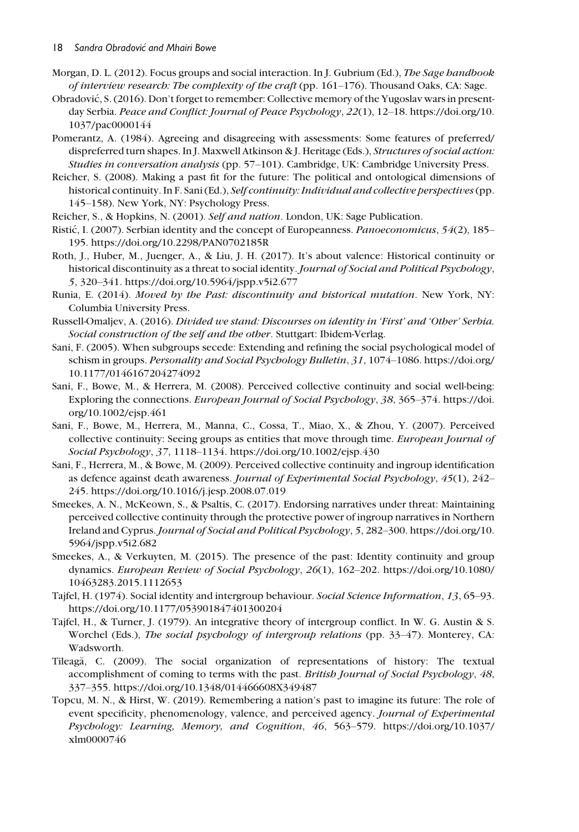- Morgan, D. L. (2012). Focus groups and social interaction. In J. Gubrium (Ed.), The Sage handbook of interview research: The complexity of the craft (pp. 161–176). Thousand Oaks, CA: Sage.
- Obradovic, S. (2016). Don't forget to remember: Collective memory of the Yugoslav wars in presentday Serbia. Peace and Conflict: Journal of Peace Psychology, 22(1), 12-18. [https://doi.org/10.](https://doi.org/10.1037/pac0000144) [1037/pac0000144](https://doi.org/10.1037/pac0000144)
- Pomerantz, A. (1984). Agreeing and disagreeing with assessments: Some features of preferred/ dispreferred turn shapes. In J. Maxwell Atkinson & J. Heritage (Eds.), Structures of social action: Studies in conversation analysis (pp. 57–101). Cambridge, UK: Cambridge University Press.
- Reicher, S. (2008). Making a past fit for the future: The political and ontological dimensions of historical continuity. In F. Sani (Ed.), Self continuity: Individual and collective perspectives (pp. 145–158). New York, NY: Psychology Press.
- Reicher, S., & Hopkins, N. (2001). Self and nation. London, UK: Sage Publication.
- Ristic, I. (2007). Serbian identity and the concept of Europeanness. Panoeconomicus, 54(2), 185– 195.<https://doi.org/10.2298/PAN0702185R>
- Roth, J., Huber, M., Juenger, A., & Liu, J. H. (2017). It's about valence: Historical continuity or historical discontinuity as a threat to social identity. Journal of Social and Political Psychology, 5, 320–341.<https://doi.org/10.5964/jspp.v5i2.677>
- Runia, E. (2014). Moved by the Past: discontinuity and historical mutation. New York, NY: Columbia University Press.
- Russell-Omaljev, A. (2016). Divided we stand: Discourses on identity in 'First' and 'Other' Serbia. Social construction of the self and the other. Stuttgart: Ibidem-Verlag.
- Sani, F. (2005). When subgroups secede: Extending and refining the social psychological model of schism in groups. Personality and Social Psychology Bulletin, 31, 1074–1086. [https://doi.org/](https://doi.org/10.1177/0146167204274092) [10.1177/0146167204274092](https://doi.org/10.1177/0146167204274092)
- Sani, F., Bowe, M., & Herrera, M. (2008). Perceived collective continuity and social well-being: Exploring the connections. European Journal of Social Psychology, 38, 365–374. [https://doi.](https://doi.org/10.1002/ejsp.461) [org/10.1002/ejsp.461](https://doi.org/10.1002/ejsp.461)
- Sani, F., Bowe, M., Herrera, M., Manna, C., Cossa, T., Miao, X., & Zhou, Y. (2007). Perceived collective continuity: Seeing groups as entities that move through time. European Journal of Social Psychology, 37, 1118–1134.<https://doi.org/10.1002/ejsp.430>
- Sani, F., Herrera, M., & Bowe, M. (2009). Perceived collective continuity and ingroup identification as defence against death awareness. Journal of Experimental Social Psychology, 45(1), 242– 245.<https://doi.org/10.1016/j.jesp.2008.07.019>
- Smeekes, A. N., McKeown, S., & Psaltis, C. (2017). Endorsing narratives under threat: Maintaining perceived collective continuity through the protective power of ingroup narratives in Northern Ireland and Cyprus. Journal of Social and Political Psychology, 5, 282–300. [https://doi.org/10.](https://doi.org/10.5964/jspp.v5i2.682) [5964/jspp.v5i2.682](https://doi.org/10.5964/jspp.v5i2.682)
- Smeekes, A., & Verkuyten, M. (2015). The presence of the past: Identity continuity and group dynamics. European Review of Social Psychology, 26(1), 162–202. [https://doi.org/10.1080/](https://doi.org/10.1080/10463283.2015.1112653) [10463283.2015.1112653](https://doi.org/10.1080/10463283.2015.1112653)
- Tajfel, H. (1974). Social identity and intergroup behaviour. Social Science Information, 13, 65–93. <https://doi.org/10.1177/053901847401300204>
- Tajfel, H., & Turner, J. (1979). An integrative theory of intergroup conflict. In W. G. Austin & S. Worchel (Eds.), The social psychology of intergroup relations (pp. 33–47). Monterey, CA: Wadsworth.
- Tileaga, C. (2009). The social organization of representations of history: The textual accomplishment of coming to terms with the past. British Journal of Social Psychology, 48, 337–355.<https://doi.org/10.1348/014466608X349487>
- Topcu, M. N., & Hirst, W. (2019). Remembering a nation's past to imagine its future: The role of event specificity, phenomenology, valence, and perceived agency. Journal of Experimental Psychology: Learning, Memory, and Cognition, 46, 563–579. [https://doi.org/10.1037/](https://doi.org/10.1037/xlm0000746) [xlm0000746](https://doi.org/10.1037/xlm0000746)